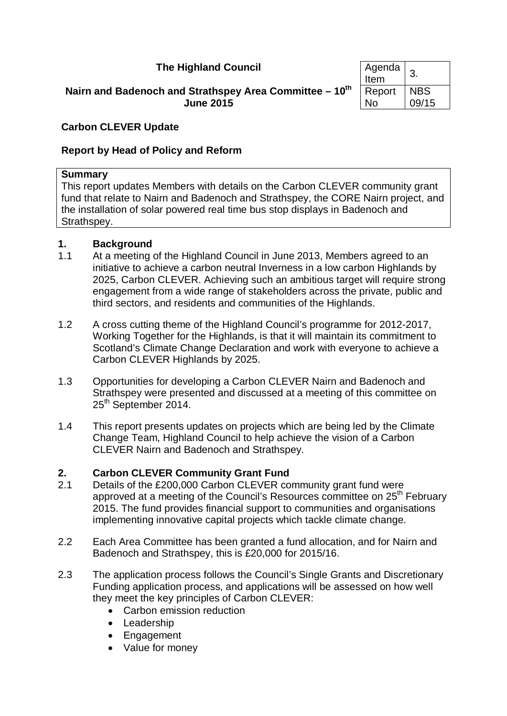## **The Highland Council**

#### **Nairn and Badenoch and Strathspey Area Committee – 10th June 2015**

| Agenda<br>Item | 3          |
|----------------|------------|
| Report         | <b>NBS</b> |
| N٥             | 09/15      |

#### **Carbon CLEVER Update**

## **Report by Head of Policy and Reform**

#### **Summary**

This report updates Members with details on the Carbon CLEVER community grant fund that relate to Nairn and Badenoch and Strathspey, the CORE Nairn project, and the installation of solar powered real time bus stop displays in Badenoch and Strathspey.

#### **1. Background**

- 1.1 At a meeting of the Highland Council in June 2013, Members agreed to an initiative to achieve a carbon neutral Inverness in a low carbon Highlands by 2025, Carbon CLEVER. Achieving such an ambitious target will require strong engagement from a wide range of stakeholders across the private, public and third sectors, and residents and communities of the Highlands.
- 1.2 A cross cutting theme of the Highland Council's programme for 2012-2017, Working Together for the Highlands, is that it will maintain its commitment to Scotland's Climate Change Declaration and work with everyone to achieve a Carbon CLEVER Highlands by 2025.
- 1.3 Opportunities for developing a Carbon CLEVER Nairn and Badenoch and Strathspey were presented and discussed at a meeting of this committee on 25<sup>th</sup> September 2014.
- 1.4 This report presents updates on projects which are being led by the Climate Change Team, Highland Council to help achieve the vision of a Carbon CLEVER Nairn and Badenoch and Strathspey.

## **2. Carbon CLEVER Community Grant Fund**

- 2.1 Details of the £200,000 Carbon CLEVER community grant fund were approved at a meeting of the Council's Resources committee on 25<sup>th</sup> February 2015. The fund provides financial support to communities and organisations implementing innovative capital projects which tackle climate change.
- 2.2 Each Area Committee has been granted a fund allocation, and for Nairn and Badenoch and Strathspey, this is £20,000 for 2015/16.
- 2.3 The application process follows the Council's Single Grants and Discretionary Funding application process, and applications will be assessed on how well they meet the key principles of Carbon CLEVER:
	- Carbon emission reduction
	- Leadership
	- Engagement
	- Value for money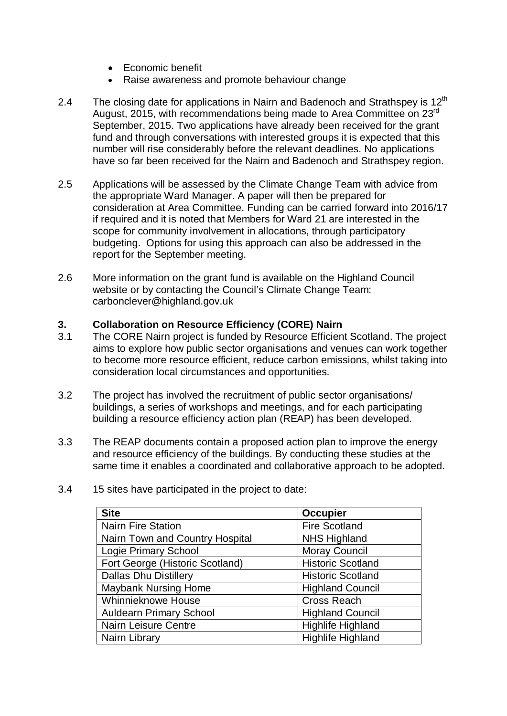- Economic benefit
- Raise awareness and promote behaviour change
- 2.4 The closing date for applications in Nairn and Badenoch and Strathspev is  $12<sup>th</sup>$ August, 2015, with recommendations being made to Area Committee on 23<sup>rd</sup> September, 2015. Two applications have already been received for the grant fund and through conversations with interested groups it is expected that this number will rise considerably before the relevant deadlines. No applications have so far been received for the Nairn and Badenoch and Strathspey region.
- 2.5 Applications will be assessed by the Climate Change Team with advice from the appropriate Ward Manager. A paper will then be prepared for consideration at Area Committee. Funding can be carried forward into 2016/17 if required and it is noted that Members for Ward 21 are interested in the scope for community involvement in allocations, through participatory budgeting. Options for using this approach can also be addressed in the report for the September meeting.
- 2.6 More information on the grant fund is available on the Highland Council website or by contacting the Council's Climate Change Team: carbonclever@highland.gov.uk

#### **3. Collaboration on Resource Efficiency (CORE) Nairn**

- 3.1 The CORE Nairn project is funded by Resource Efficient Scotland. The project aims to explore how public sector organisations and venues can work together to become more resource efficient, reduce carbon emissions, whilst taking into consideration local circumstances and opportunities.
- 3.2 The project has involved the recruitment of public sector organisations/ buildings, a series of workshops and meetings, and for each participating building a resource efficiency action plan (REAP) has been developed.
- 3.3 The REAP documents contain a proposed action plan to improve the energy and resource efficiency of the buildings. By conducting these studies at the same time it enables a coordinated and collaborative approach to be adopted.

| <b>Site</b>                     | Occupier                 |
|---------------------------------|--------------------------|
| Nairn Fire Station              | <b>Fire Scotland</b>     |
| Nairn Town and Country Hospital | <b>NHS Highland</b>      |
| <b>Logie Primary School</b>     | <b>Moray Council</b>     |
| Fort George (Historic Scotland) | <b>Historic Scotland</b> |
| <b>Dallas Dhu Distillery</b>    | <b>Historic Scotland</b> |
| <b>Maybank Nursing Home</b>     | <b>Highland Council</b>  |
| <b>Whinnieknowe House</b>       | <b>Cross Reach</b>       |
| <b>Auldearn Primary School</b>  | <b>Highland Council</b>  |
| <b>Nairn Leisure Centre</b>     | <b>Highlife Highland</b> |
| Nairn Library                   | <b>Highlife Highland</b> |

3.4 15 sites have participated in the project to date: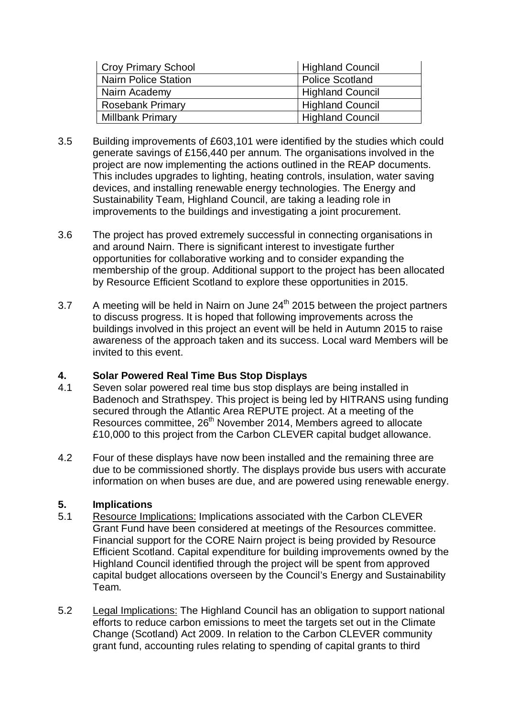| <b>Croy Primary School</b> | Highland Council        |
|----------------------------|-------------------------|
| Nairn Police Station       | <b>Police Scotland</b>  |
| Nairn Academy              | <b>Highland Council</b> |
| <b>Rosebank Primary</b>    | <b>Highland Council</b> |
| <b>Millbank Primary</b>    | <b>Highland Council</b> |

- 3.5 Building improvements of £603,101 were identified by the studies which could generate savings of £156,440 per annum. The organisations involved in the project are now implementing the actions outlined in the REAP documents. This includes upgrades to lighting, heating controls, insulation, water saving devices, and installing renewable energy technologies. The Energy and Sustainability Team, Highland Council, are taking a leading role in improvements to the buildings and investigating a joint procurement.
- 3.6 The project has proved extremely successful in connecting organisations in and around Nairn. There is significant interest to investigate further opportunities for collaborative working and to consider expanding the membership of the group. Additional support to the project has been allocated by Resource Efficient Scotland to explore these opportunities in 2015.
- 3.7 A meeting will be held in Nairn on June  $24<sup>th</sup>$  2015 between the project partners to discuss progress. It is hoped that following improvements across the buildings involved in this project an event will be held in Autumn 2015 to raise awareness of the approach taken and its success. Local ward Members will be invited to this event.

# **4. Solar Powered Real Time Bus Stop Displays**

- Seven solar powered real time bus stop displays are being installed in Badenoch and Strathspey. This project is being led by HITRANS using funding secured through the Atlantic Area REPUTE project. At a meeting of the Resources committee, 26<sup>th</sup> November 2014, Members agreed to allocate £10,000 to this project from the Carbon CLEVER capital budget allowance.
- 4.2 Four of these displays have now been installed and the remaining three are due to be commissioned shortly. The displays provide bus users with accurate information on when buses are due, and are powered using renewable energy.

## **5. Implications**

- 5.1 Resource Implications: Implications associated with the Carbon CLEVER Grant Fund have been considered at meetings of the Resources committee. Financial support for the CORE Nairn project is being provided by Resource Efficient Scotland. Capital expenditure for building improvements owned by the Highland Council identified through the project will be spent from approved capital budget allocations overseen by the Council's Energy and Sustainability Team.
- 5.2 Legal Implications: The Highland Council has an obligation to support national efforts to reduce carbon emissions to meet the targets set out in the Climate Change (Scotland) Act 2009. In relation to the Carbon CLEVER community grant fund, accounting rules relating to spending of capital grants to third